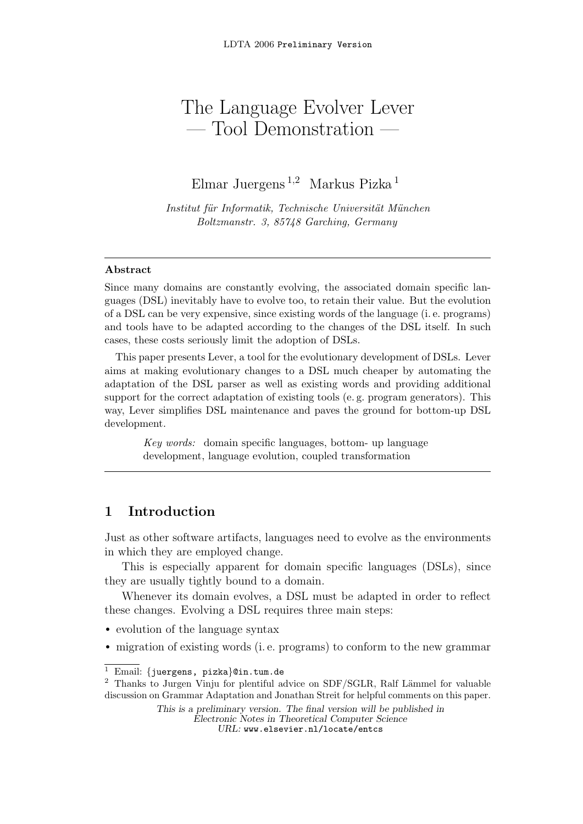# The Language Evolver Lever — Tool Demonstration —

Elmar Juergens <sup>1</sup>,<sup>2</sup> Markus Pizka <sup>1</sup>

Institut für Informatik, Technische Universität München Boltzmanstr. 3, 85748 Garching, Germany

#### Abstract

Since many domains are constantly evolving, the associated domain specific languages (DSL) inevitably have to evolve too, to retain their value. But the evolution of a DSL can be very expensive, since existing words of the language (i. e. programs) and tools have to be adapted according to the changes of the DSL itself. In such cases, these costs seriously limit the adoption of DSLs.

This paper presents Lever, a tool for the evolutionary development of DSLs. Lever aims at making evolutionary changes to a DSL much cheaper by automating the adaptation of the DSL parser as well as existing words and providing additional support for the correct adaptation of existing tools (e. g. program generators). This way, Lever simplifies DSL maintenance and paves the ground for bottom-up DSL development.

Key words: domain specific languages, bottom- up language development, language evolution, coupled transformation

## 1 Introduction

Just as other software artifacts, languages need to evolve as the environments in which they are employed change.

This is especially apparent for domain specific languages (DSLs), since they are usually tightly bound to a domain.

Whenever its domain evolves, a DSL must be adapted in order to reflect these changes. Evolving a DSL requires three main steps:

- evolution of the language syntax
- migration of existing words (i. e. programs) to conform to the new grammar

<sup>1</sup> Email: {juergens, pizka}@in.tum.de

 $2$  Thanks to Jurgen Vinju for plentiful advice on SDF/SGLR, Ralf Lämmel for valuable discussion on Grammar Adaptation and Jonathan Streit for helpful comments on this paper.

This is a preliminary version. The final version will be published in Electronic Notes in Theoretical Computer Science URL: www.elsevier.nl/locate/entcs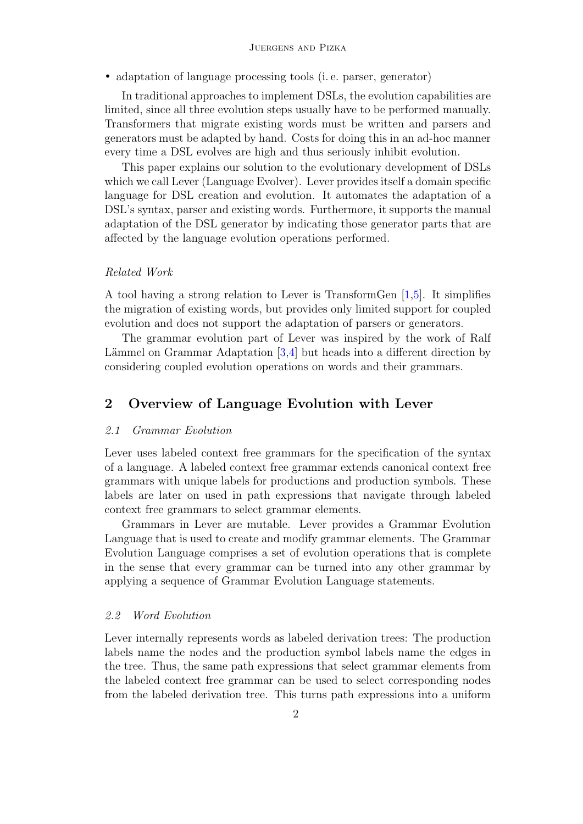• adaptation of language processing tools (i. e. parser, generator)

In traditional approaches to implement DSLs, the evolution capabilities are limited, since all three evolution steps usually have to be performed manually. Transformers that migrate existing words must be written and parsers and generators must be adapted by hand. Costs for doing this in an ad-hoc manner every time a DSL evolves are high and thus seriously inhibit evolution.

This paper explains our solution to the evolutionary development of DSLs which we call Lever (Language Evolver). Lever provides itself a domain specific language for DSL creation and evolution. It automates the adaptation of a DSL's syntax, parser and existing words. Furthermore, it supports the manual adaptation of the DSL generator by indicating those generator parts that are affected by the language evolution operations performed.

#### Related Work

A tool having a strong relation to Lever is TransformGen [\[1](#page-5-0)[,5\]](#page-5-1). It simplifies the migration of existing words, but provides only limited support for coupled evolution and does not support the adaptation of parsers or generators.

The grammar evolution part of Lever was inspired by the work of Ralf Lämmel on Grammar Adaptation  $[3,4]$  $[3,4]$  but heads into a different direction by considering coupled evolution operations on words and their grammars.

## 2 Overview of Language Evolution with Lever

#### 2.1 Grammar Evolution

Lever uses labeled context free grammars for the specification of the syntax of a language. A labeled context free grammar extends canonical context free grammars with unique labels for productions and production symbols. These labels are later on used in path expressions that navigate through labeled context free grammars to select grammar elements.

Grammars in Lever are mutable. Lever provides a Grammar Evolution Language that is used to create and modify grammar elements. The Grammar Evolution Language comprises a set of evolution operations that is complete in the sense that every grammar can be turned into any other grammar by applying a sequence of Grammar Evolution Language statements.

#### 2.2 Word Evolution

Lever internally represents words as labeled derivation trees: The production labels name the nodes and the production symbol labels name the edges in the tree. Thus, the same path expressions that select grammar elements from the labeled context free grammar can be used to select corresponding nodes from the labeled derivation tree. This turns path expressions into a uniform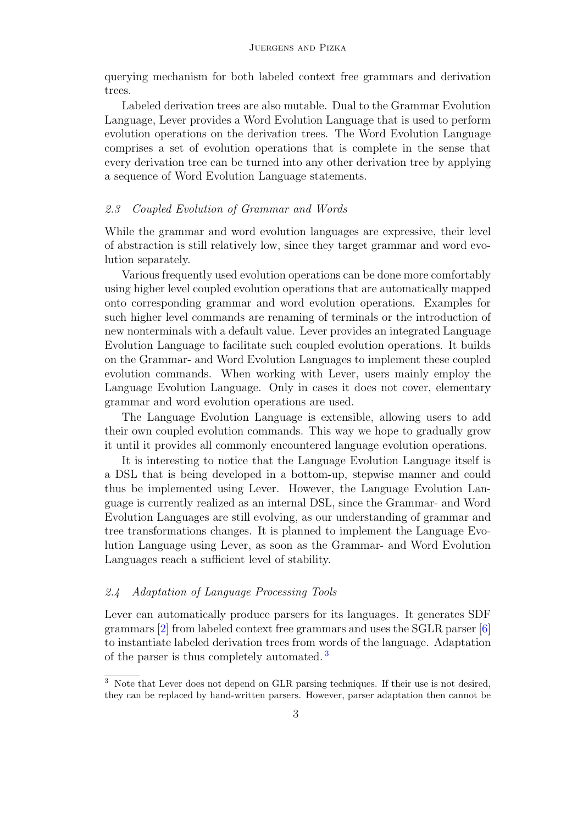querying mechanism for both labeled context free grammars and derivation trees.

Labeled derivation trees are also mutable. Dual to the Grammar Evolution Language, Lever provides a Word Evolution Language that is used to perform evolution operations on the derivation trees. The Word Evolution Language comprises a set of evolution operations that is complete in the sense that every derivation tree can be turned into any other derivation tree by applying a sequence of Word Evolution Language statements.

#### 2.3 Coupled Evolution of Grammar and Words

While the grammar and word evolution languages are expressive, their level of abstraction is still relatively low, since they target grammar and word evolution separately.

Various frequently used evolution operations can be done more comfortably using higher level coupled evolution operations that are automatically mapped onto corresponding grammar and word evolution operations. Examples for such higher level commands are renaming of terminals or the introduction of new nonterminals with a default value. Lever provides an integrated Language Evolution Language to facilitate such coupled evolution operations. It builds on the Grammar- and Word Evolution Languages to implement these coupled evolution commands. When working with Lever, users mainly employ the Language Evolution Language. Only in cases it does not cover, elementary grammar and word evolution operations are used.

The Language Evolution Language is extensible, allowing users to add their own coupled evolution commands. This way we hope to gradually grow it until it provides all commonly encountered language evolution operations.

It is interesting to notice that the Language Evolution Language itself is a DSL that is being developed in a bottom-up, stepwise manner and could thus be implemented using Lever. However, the Language Evolution Language is currently realized as an internal DSL, since the Grammar- and Word Evolution Languages are still evolving, as our understanding of grammar and tree transformations changes. It is planned to implement the Language Evolution Language using Lever, as soon as the Grammar- and Word Evolution Languages reach a sufficient level of stability.

#### 2.4 Adaptation of Language Processing Tools

Lever can automatically produce parsers for its languages. It generates SDF grammars [\[2\]](#page-5-4) from labeled context free grammars and uses the SGLR parser [\[6\]](#page-5-5) to instantiate labeled derivation trees from words of the language. Adaptation of the parser is thus completely automated. [3](#page-2-0)

<span id="page-2-0"></span><sup>&</sup>lt;sup>3</sup> Note that Lever does not depend on GLR parsing techniques. If their use is not desired, they can be replaced by hand-written parsers. However, parser adaptation then cannot be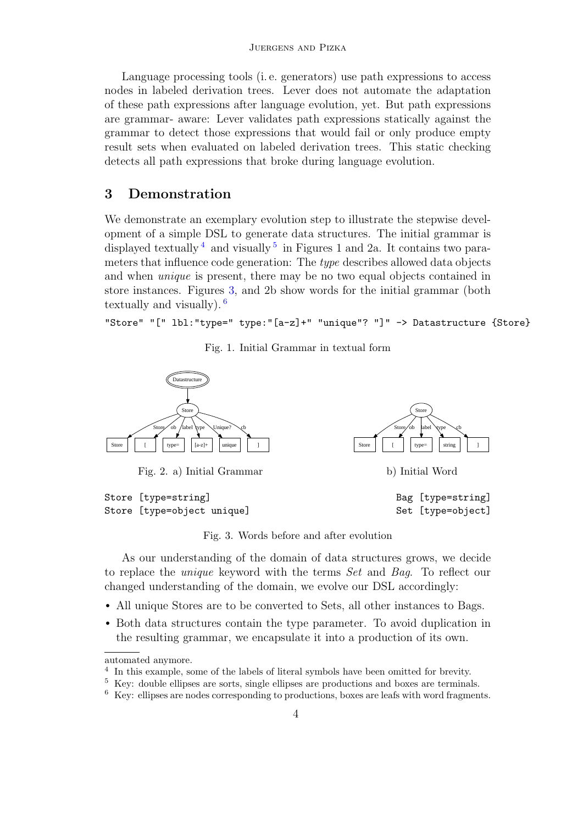Language processing tools (i. e. generators) use path expressions to access nodes in labeled derivation trees. Lever does not automate the adaptation of these path expressions after language evolution, yet. But path expressions are grammar- aware: Lever validates path expressions statically against the grammar to detect those expressions that would fail or only produce empty result sets when evaluated on labeled derivation trees. This static checking detects all path expressions that broke during language evolution.

## 3 Demonstration

We demonstrate an exemplary evolution step to illustrate the stepwise development of a simple DSL to generate data structures. The initial grammar is displayed textually  $4$  and visually  $5$  in Figures 1 and 2a. It contains two parameters that influence code generation: The type describes allowed data objects and when *unique* is present, there may be no two equal objects contained in store instances. Figures [3,](#page-3-2) and 2b show words for the initial grammar (both textually and visually). [6](#page-3-3)

"Store" "[" lbl:"type=" type:"[a-z]+" "unique"? "]" -> Datastructure {Store}

Fig. 1. Initial Grammar in textual form



Fig. 2. a) Initial Grammar b) Initial Word

Store [type=string] Bag [type=string] Store [type=object unique] Store [type=object]



<span id="page-3-2"></span>Fig. 3. Words before and after evolution

As our understanding of the domain of data structures grows, we decide to replace the unique keyword with the terms Set and Bag. To reflect our changed understanding of the domain, we evolve our DSL accordingly:

- All unique Stores are to be converted to Sets, all other instances to Bags.
- Both data structures contain the type parameter. To avoid duplication in the resulting grammar, we encapsulate it into a production of its own.

automated anymore.

<span id="page-3-0"></span><sup>&</sup>lt;sup>4</sup> In this example, some of the labels of literal symbols have been omitted for brevity.

<span id="page-3-1"></span><sup>5</sup> Key: double ellipses are sorts, single ellipses are productions and boxes are terminals.

<span id="page-3-3"></span> $6\,$  Key: ellipses are nodes corresponding to productions, boxes are leafs with word fragments.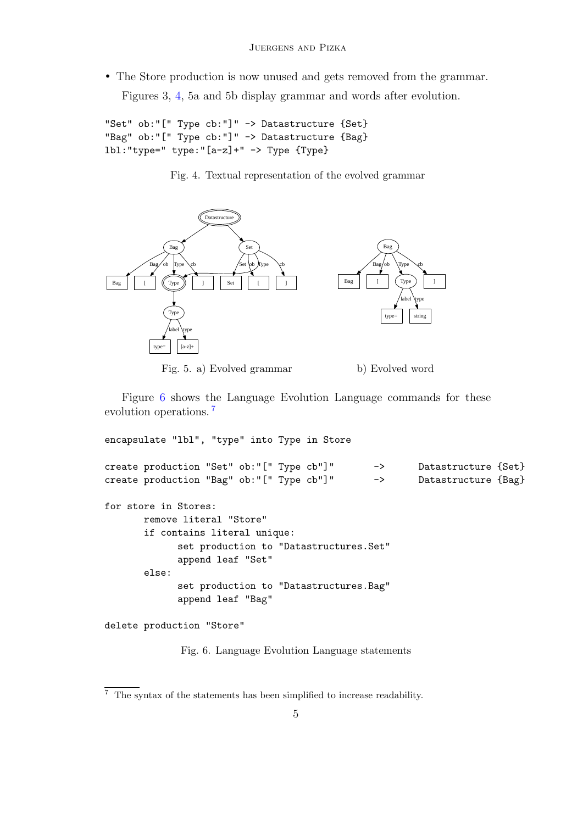• The Store production is now unused and gets removed from the grammar.

Figures 3, [4,](#page-4-0) 5a and 5b display grammar and words after evolution.

"Set" ob:"[" Type cb:"]" -> Datastructure {Set} "Bag" ob:"[" Type cb:"]" -> Datastructure {Bag} lbl:"type=" type:"[a-z]+" -> Type {Type}

<span id="page-4-0"></span>Fig. 4. Textual representation of the evolved grammar



Fig. 5. a) Evolved grammar b) Evolved word

Figure [6](#page-4-1) shows the Language Evolution Language commands for these evolution operations. [7](#page-4-2)

```
encapsulate "lbl", "type" into Type in Store
create production "Set" ob:"[" Type cb"]" -> Datastructure {Set}
create production "Bag" ob:"[" Type cb"]" -> Datastructure {Bag}
for store in Stores:
      remove literal "Store"
      if contains literal unique:
            set production to "Datastructures.Set"
            append leaf "Set"
      else:
            set production to "Datastructures.Bag"
            append leaf "Bag"
delete production "Store"
```
<span id="page-4-1"></span>Fig. 6. Language Evolution Language statements

<span id="page-4-2"></span> $\overline{7}$  The syntax of the statements has been simplified to increase readability.